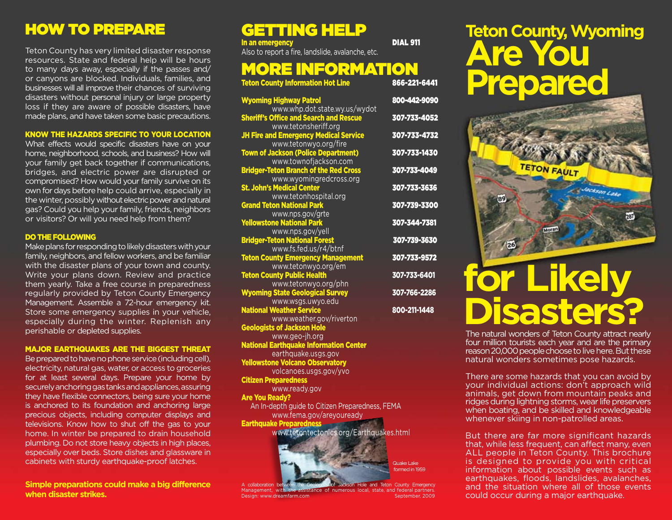# HOW TO PREPARE

Teton County has very limited disaster response resources. State and federal help will be hours to many days away, especially if the passes and/ or canyons are blocked. Individuals, families, and businesses will all improve their chances of surviving disasters without personal injury or large property loss if they are aware of possible disasters, have made plans, and have taken some basic precautions.

#### KNOW THE HAZARDS SPECIFIC TO YOUR LOCATION

What effects would specific disasters have on your home, neighborhood, schools, and business? How will your family get back together if communications, bridges, and electric power are disrupted or compromised? How would your family survive on its own for days before help could arrive, especially in the winter, possibly without electric power and natural gas? Could you help your family, friends, neighbors or visitors? Or will you need help from them?

#### DO THE FOLLOWING

Make plans for responding to likely disasters with your family, neighbors, and fellow workers, and be familiar with the disaster plans of your town and county. Write your plans down. Review and practice them yearly. Take a free course in preparedness regularly provided by Teton County Emergency Management. Assemble a 72-hour emergency kit. Store some emergency supplies in your vehicle, especially during the winter. Replenish any perishable or depleted supplies.

#### MAJOR EARTHQUAKES ARE THE BIGGEST THREAT

Be prepared to have no phone service (including cell), electricity, natural gas, water, or access to groceries for at least several days. Prepare your home by securely anchoring gas tanks and appliances, assuring they have flexible connectors, being sure your home is anchored to its foundation and anchoring large precious objects, including computer displays and televisions. Know how to shut off the gas to your home. In winter be prepared to drain household plumbing. Do not store heavy objects in high places, especially over beds. Store dishes and glassware in cabinets with sturdy earthquake-proof latches.

**Simple preparations could make a big difference when disaster strikes.**

# GETTING HELP

In an emergency and the contract of the DIAL 911 Also to report a fire, landslide, avalanche, etc.

### **MORE INFORMATION Teton County Information Hot Line**

| <b>Wyoming Highway Patrol</b>                                                  | 800-442-9090 |
|--------------------------------------------------------------------------------|--------------|
| www.whp.dot.state.wy.us/wydot<br><b>Sheriff's Office and Search and Rescue</b> | 307-733-4052 |
| www.tetonsheriff.org                                                           |              |
| <b>JH Fire and Emergency Medical Service</b>                                   | 307-733-4732 |
| www.tetonwyo.org/fire                                                          |              |
| <b>Town of Jackson (Police Department)</b>                                     | 307-733-1430 |
| www.townofjackson.com                                                          |              |
| <b>Bridger-Teton Branch of the Red Cross</b>                                   | 307-733-4049 |
| www.wyomingredcross.org                                                        |              |
| <b>St. John's Medical Center</b>                                               | 307-733-3636 |
| www.tetonhospital.org                                                          |              |
| <b>Grand Teton National Park</b>                                               | 307-739-3300 |
| www.nps.gov/grte                                                               |              |
| <b>Yellowstone National Park</b>                                               | 307-344-7381 |
| www.nps.gov/yell                                                               |              |
| <b>Bridger-Teton National Forest</b>                                           | 307-739-3630 |
| www.fs.fed.us/r4/btnf                                                          |              |
| <b>Teton County Emergency Management</b>                                       | 307-733-9572 |
| www.tetonwyo.org/em                                                            |              |
| <b>Teton County Public Health</b>                                              | 307-733-6401 |
| www.tetonwyo.org/phn                                                           |              |
| <b>Wyoming State Geological Survey</b>                                         | 307-766-2286 |
| www.wsgs.uwyo.edu                                                              |              |
| <b>National Weather Service</b>                                                | 800-211-1448 |
| www.weather.gov/riverton                                                       |              |
| <b>Geologists of Jackson Hole</b>                                              |              |

www.geo-jh.org National Earthquake Information Center

earthquake.usgs.gov Yellowstone Volcano Observatory

volcanoes.usgs.gov/yvo

Citizen Preparedness

www.ready.gov Are You Ready?

 An In-depth guide to Citizen Preparedness, FEMA www.fema.gov/areyouready

**Earthquake Preparedness** 

www.tetontectonics.org/Earthquakes.html



**Jackson Hole and Teton County Emergency** Management, with the assistance of numerous local, state, and federal partners.<br>Design: www.dreamfarm.com Design: www.dreamfarm.com

# **Teton County, Wyoming Are You Prepared**



# **for Likely Disasters?**

The natural wonders of Teton County attract nearly four million tourists each year and are the primary reason 20,000 people choose to live here. But these natural wonders sometimes pose hazards.

There are some hazards that you can avoid by your individual actions: don't approach wild animals, get down from mountain peaks and ridges during lightning storms, wear life preservers when boating, and be skilled and knowledgeable whenever skiing in non-patrolled areas.

But there are far more significant hazards that, while less frequent, can affect many, even ALL people in Teton County. This brochure is designed to provide you with critical information about possible events such as earthquakes, floods, landslides, avalanches, and the situation where all of those events could occur during a major earthquake.